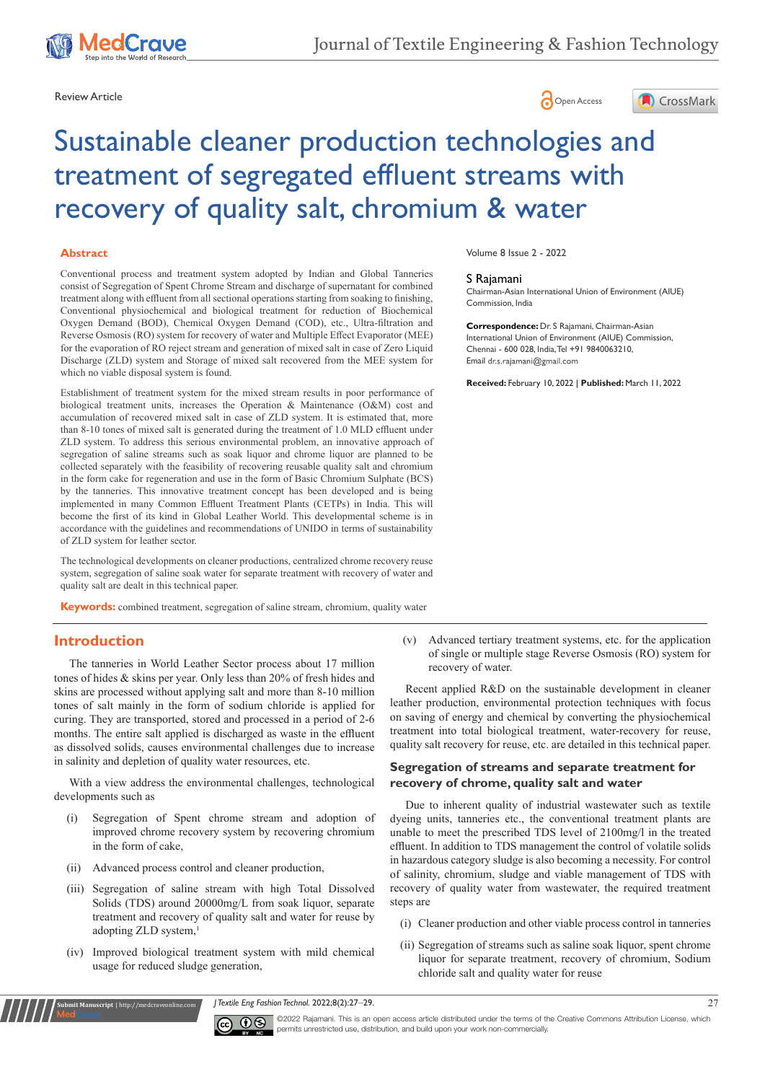





# Sustainable cleaner production technologies and treatment of segregated effluent streams with recovery of quality salt, chromium & water

#### **Abstract**

Conventional process and treatment system adopted by Indian and Global Tanneries consist of Segregation of Spent Chrome Stream and discharge of supernatant for combined treatment along with effluent from all sectional operations starting from soaking to finishing, Conventional physiochemical and biological treatment for reduction of Biochemical Oxygen Demand (BOD), Chemical Oxygen Demand (COD), etc., Ultra-filtration and Reverse Osmosis (RO) system for recovery of water and Multiple Effect Evaporator (MEE) for the evaporation of RO reject stream and generation of mixed salt in case of Zero Liquid Discharge (ZLD) system and Storage of mixed salt recovered from the MEE system for which no viable disposal system is found.

Establishment of treatment system for the mixed stream results in poor performance of biological treatment units, increases the Operation & Maintenance (O&M) cost and accumulation of recovered mixed salt in case of ZLD system. It is estimated that, more than 8-10 tones of mixed salt is generated during the treatment of 1.0 MLD effluent under ZLD system. To address this serious environmental problem, an innovative approach of segregation of saline streams such as soak liquor and chrome liquor are planned to be collected separately with the feasibility of recovering reusable quality salt and chromium in the form cake for regeneration and use in the form of Basic Chromium Sulphate (BCS) by the tanneries. This innovative treatment concept has been developed and is being implemented in many Common Effluent Treatment Plants (CETPs) in India. This will become the first of its kind in Global Leather World. This developmental scheme is in accordance with the guidelines and recommendations of UNIDO in terms of sustainability of ZLD system for leather sector.

The technological developments on cleaner productions, centralized chrome recovery reuse system, segregation of saline soak water for separate treatment with recovery of water and quality salt are dealt in this technical paper.

**Keywords:** combined treatment, segregation of saline stream, chromium, quality water

# **Introduction**

The tanneries in World Leather Sector process about 17 million tones of hides & skins per year. Only less than 20% of fresh hides and skins are processed without applying salt and more than 8-10 million tones of salt mainly in the form of sodium chloride is applied for curing. They are transported, stored and processed in a period of 2-6 months. The entire salt applied is discharged as waste in the effluent as dissolved solids, causes environmental challenges due to increase in salinity and depletion of quality water resources, etc.

With a view address the environmental challenges, technological developments such as

- (i) Segregation of Spent chrome stream and adoption of improved chrome recovery system by recovering chromium in the form of cake,
- (ii) Advanced process control and cleaner production,

**Submit Manuscript** | http://medcraveonline.com

- (iii) Segregation of saline stream with high Total Dissolved Solids (TDS) around 20000mg/L from soak liquor, separate treatment and recovery of quality salt and water for reuse by adopting ZLD system, 1
- (iv) Improved biological treatment system with mild chemical usage for reduced sludge generation,

Volume 8 Issue 2 - 2022

#### S Rajamani

Chairman-Asian International Union of Environment (AIUE) Commission, India

**Correspondence:** Dr. S Rajamani, Chairman-Asian International Union of Environment (AIUE) Commission, Chennai - 600 028, India, Tel +91 9840063210, Email dr.s.rajamani@gmail.com

**Received:** February 10, 2022 | **Published:** March 11, 2022

(v) Advanced tertiary treatment systems, etc. for the application of single or multiple stage Reverse Osmosis (RO) system for recovery of water.

Recent applied R&D on the sustainable development in cleaner leather production, environmental protection techniques with focus on saving of energy and chemical by converting the physiochemical treatment into total biological treatment, water-recovery for reuse, quality salt recovery for reuse, etc. are detailed in this technical paper.

#### **Segregation of streams and separate treatment for recovery of chrome, quality salt and water**

Due to inherent quality of industrial wastewater such as textile dyeing units, tanneries etc., the conventional treatment plants are unable to meet the prescribed TDS level of 2100mg/l in the treated effluent. In addition to TDS management the control of volatile solids in hazardous category sludge is also becoming a necessity. For control of salinity, chromium, sludge and viable management of TDS with recovery of quality water from wastewater, the required treatment steps are

- (i) Cleaner production and other viable process control in tanneries
- (ii) Segregation of streams such as saline soak liquor, spent chrome liquor for separate treatment, recovery of chromium, Sodium chloride salt and quality water for reuse

*J Textile Eng Fashion Technol.* 2022;8(2):27‒29. 27



©2022 Rajamani. This is an open access article distributed under the terms of the [Creative Commons Attribution License](https://creativecommons.org/licenses/by-nc/4.0/), which permits unrestricted use, distribution, and build upon your work non-commercially.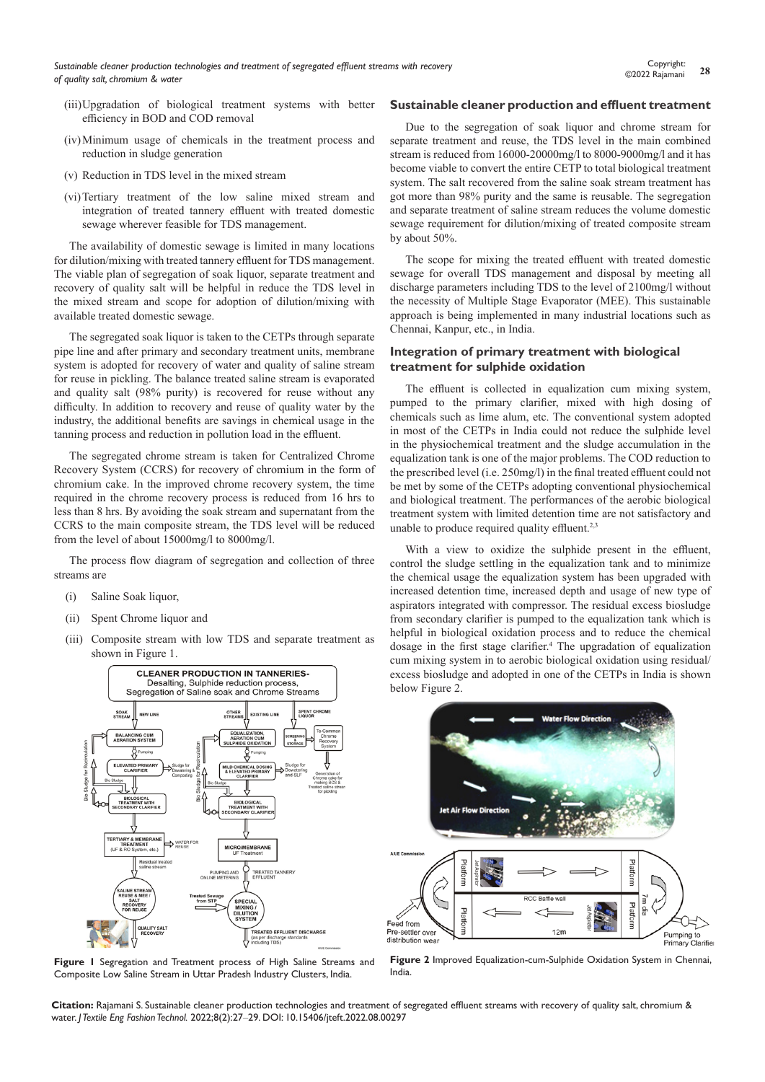- (iii)Upgradation of biological treatment systems with better efficiency in BOD and COD removal
- (iv)Minimum usage of chemicals in the treatment process and reduction in sludge generation
- (v) Reduction in TDS level in the mixed stream
- (vi)Tertiary treatment of the low saline mixed stream and integration of treated tannery effluent with treated domestic sewage wherever feasible for TDS management.

The availability of domestic sewage is limited in many locations for dilution/mixing with treated tannery effluent for TDS management. The viable plan of segregation of soak liquor, separate treatment and recovery of quality salt will be helpful in reduce the TDS level in the mixed stream and scope for adoption of dilution/mixing with available treated domestic sewage.

The segregated soak liquor is taken to the CETPs through separate pipe line and after primary and secondary treatment units, membrane system is adopted for recovery of water and quality of saline stream for reuse in pickling. The balance treated saline stream is evaporated and quality salt (98% purity) is recovered for reuse without any difficulty. In addition to recovery and reuse of quality water by the industry, the additional benefits are savings in chemical usage in the tanning process and reduction in pollution load in the effluent.

The segregated chrome stream is taken for Centralized Chrome Recovery System (CCRS) for recovery of chromium in the form of chromium cake. In the improved chrome recovery system, the time required in the chrome recovery process is reduced from 16 hrs to less than 8 hrs. By avoiding the soak stream and supernatant from the CCRS to the main composite stream, the TDS level will be reduced from the level of about 15000mg/l to 8000mg/l.

The process flow diagram of segregation and collection of three streams are

- (i) Saline Soak liquor,
- (ii) Spent Chrome liquor and
- (iii) Composite stream with low TDS and separate treatment as shown in Figure 1.



**Figure 1** Segregation and Treatment process of High Saline Streams and Composite Low Saline Stream in Uttar Pradesh Industry Clusters, India.

#### **Sustainable cleaner production and effluent treatment**

Due to the segregation of soak liquor and chrome stream for separate treatment and reuse, the TDS level in the main combined stream is reduced from 16000-20000mg/l to 8000-9000mg/l and it has become viable to convert the entire CETP to total biological treatment system. The salt recovered from the saline soak stream treatment has got more than 98% purity and the same is reusable. The segregation and separate treatment of saline stream reduces the volume domestic sewage requirement for dilution/mixing of treated composite stream by about 50%.

The scope for mixing the treated effluent with treated domestic sewage for overall TDS management and disposal by meeting all discharge parameters including TDS to the level of 2100mg/l without the necessity of Multiple Stage Evaporator (MEE). This sustainable approach is being implemented in many industrial locations such as Chennai, Kanpur, etc., in India.

#### **Integration of primary treatment with biological treatment for sulphide oxidation**

The effluent is collected in equalization cum mixing system, pumped to the primary clarifier, mixed with high dosing of chemicals such as lime alum, etc. The conventional system adopted in most of the CETPs in India could not reduce the sulphide level in the physiochemical treatment and the sludge accumulation in the equalization tank is one of the major problems. The COD reduction to the prescribed level (i.e. 250mg/l) in the final treated effluent could not be met by some of the CETPs adopting conventional physiochemical and biological treatment. The performances of the aerobic biological treatment system with limited detention time are not satisfactory and unable to produce required quality effluent.<sup>2,3</sup>

With a view to oxidize the sulphide present in the effluent, control the sludge settling in the equalization tank and to minimize the chemical usage the equalization system has been upgraded with increased detention time, increased depth and usage of new type of aspirators integrated with compressor. The residual excess biosludge from secondary clarifier is pumped to the equalization tank which is helpful in biological oxidation process and to reduce the chemical dosage in the first stage clarifier.<sup>4</sup> The upgradation of equalization cum mixing system in to aerobic biological oxidation using residual/ excess biosludge and adopted in one of the CETPs in India is shown below Figure 2.



**Figure 2** Improved Equalization-cum-Sulphide Oxidation System in Chennai, India.

**Citation:** Rajamani S. Sustainable cleaner production technologies and treatment of segregated effluent streams with recovery of quality salt, chromium & water. *J Textile Eng Fashion Technol.* 2022;8(2):27‒29. DOI: [10.15406/jteft.2022.08.00297](https://doi.org/10.15406/jteft.2022.08.00297)